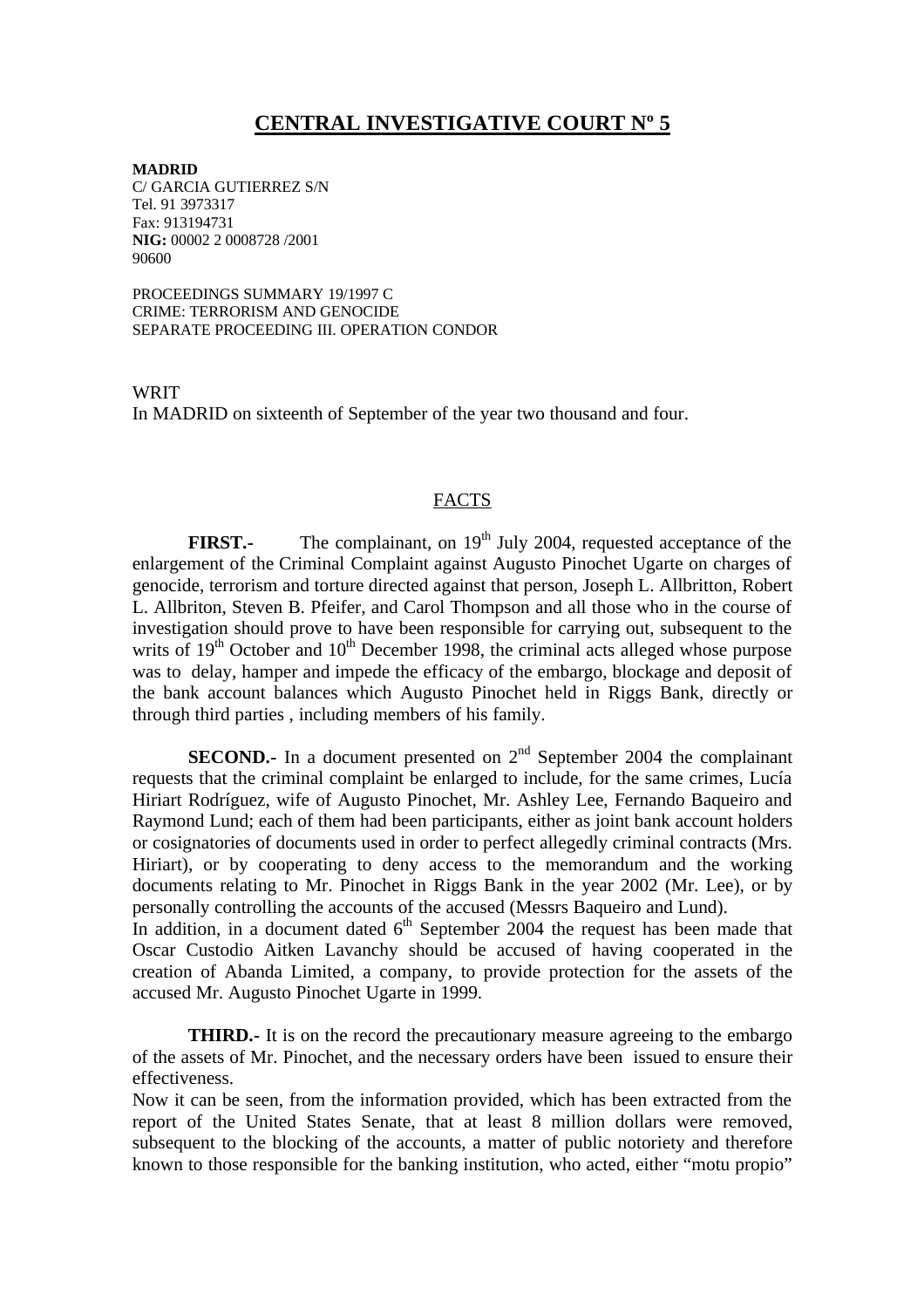## **CENTRAL INVESTIGATIVE COURT Nº 5**

**MADRID** C/ GARCIA GUTIERREZ S/N Tel. 91 3973317 Fax: 913194731 **NIG:** 00002 2 0008728 /2001 90600

PROCEEDINGS SUMMARY 19/1997 C CRIME: TERRORISM AND GENOCIDE SEPARATE PROCEEDING III. OPERATION CONDOR

**WRIT** In MADRID on sixteenth of September of the year two thousand and four.

## FACTS

**FIRST.** The complainant, on 19<sup>th</sup> July 2004, requested acceptance of the enlargement of the Criminal Complaint against Augusto Pinochet Ugarte on charges of genocide, terrorism and torture directed against that person, Joseph L. Allbritton, Robert L. Allbriton, Steven B. Pfeifer, and Carol Thompson and all those who in the course of investigation should prove to have been responsible for carrying out, subsequent to the writs of  $19<sup>th</sup>$  October and  $10<sup>th</sup>$  December 1998, the criminal acts alleged whose purpose was to delay, hamper and impede the efficacy of the embargo, blockage and deposit of the bank account balances which Augusto Pinochet held in Riggs Bank, directly or through third parties , including members of his family.

**SECOND.**- In a document presented on  $2<sup>nd</sup>$  September 2004 the complainant requests that the criminal complaint be enlarged to include, for the same crimes, Lucía Hiriart Rodríguez, wife of Augusto Pinochet, Mr. Ashley Lee, Fernando Baqueiro and Raymond Lund; each of them had been participants, either as joint bank account holders or cosignatories of documents used in order to perfect allegedly criminal contracts (Mrs. Hiriart), or by cooperating to deny access to the memorandum and the working documents relating to Mr. Pinochet in Riggs Bank in the year 2002 (Mr. Lee), or by personally controlling the accounts of the accused (Messrs Baqueiro and Lund).

In addition, in a document dated  $6<sup>th</sup>$  September 2004 the request has been made that Oscar Custodio Aitken Lavanchy should be accused of having cooperated in the creation of Abanda Limited, a company, to provide protection for the assets of the accused Mr. Augusto Pinochet Ugarte in 1999.

**THIRD.**- It is on the record the precautionary measure agreeing to the embargo of the assets of Mr. Pinochet, and the necessary orders have been issued to ensure their effectiveness.

Now it can be seen, from the information provided, which has been extracted from the report of the United States Senate, that at least 8 million dollars were removed, subsequent to the blocking of the accounts, a matter of public notoriety and therefore known to those responsible for the banking institution, who acted, either "motu propio"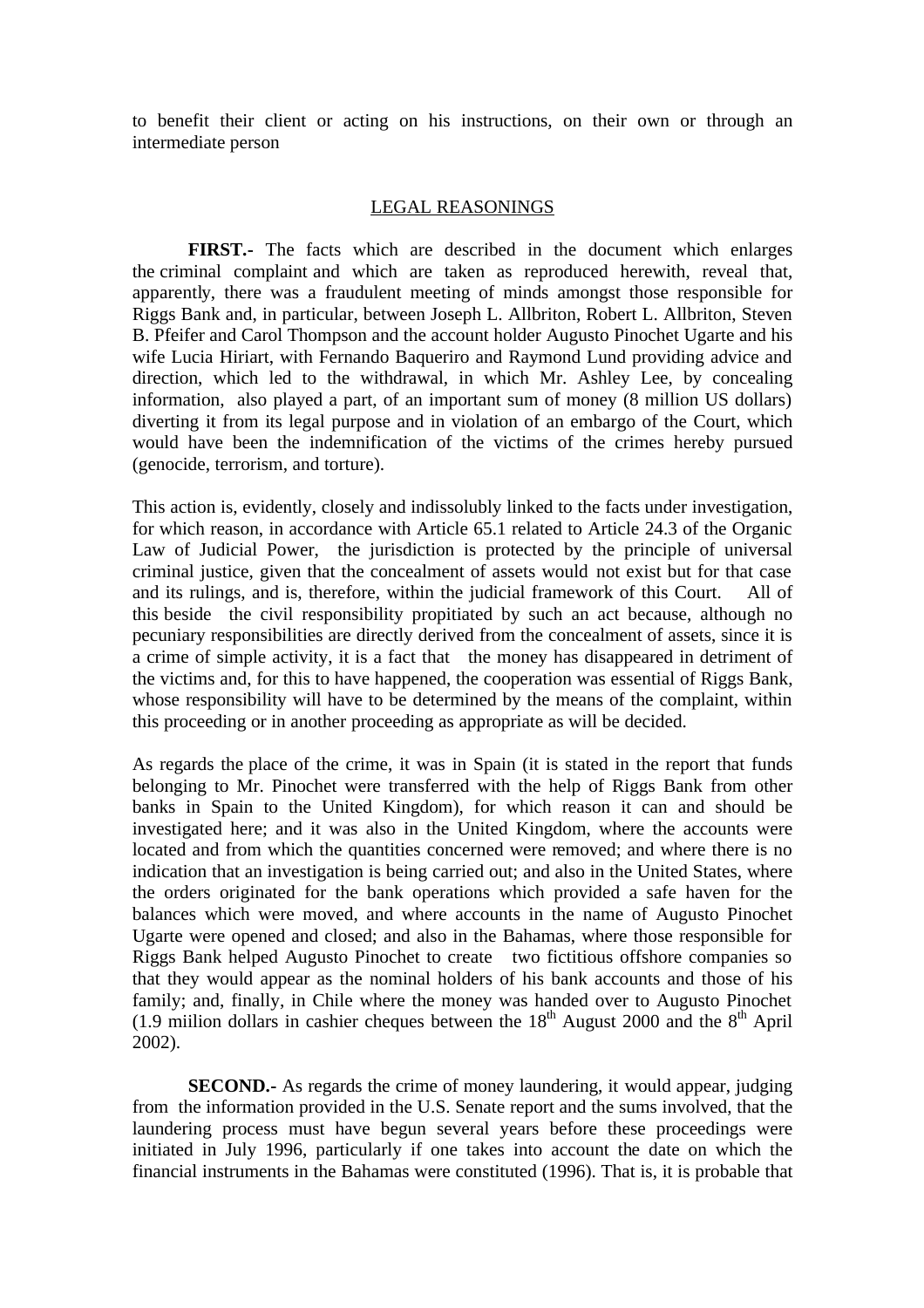to benefit their client or acting on his instructions, on their own or through an intermediate person

## LEGAL REASONINGS

**FIRST.-** The facts which are described in the document which enlarges the criminal complaint and which are taken as reproduced herewith, reveal that, apparently, there was a fraudulent meeting of minds amongst those responsible for Riggs Bank and, in particular, between Joseph L. Allbriton, Robert L. Allbriton, Steven B. Pfeifer and Carol Thompson and the account holder Augusto Pinochet Ugarte and his wife Lucia Hiriart, with Fernando Baqueriro and Raymond Lund providing advice and direction, which led to the withdrawal, in which Mr. Ashley Lee, by concealing information, also played a part, of an important sum of money (8 million US dollars) diverting it from its legal purpose and in violation of an embargo of the Court, which would have been the indemnification of the victims of the crimes hereby pursued (genocide, terrorism, and torture).

This action is, evidently, closely and indissolubly linked to the facts under investigation, for which reason, in accordance with Article 65.1 related to Article 24.3 of the Organic Law of Judicial Power, the jurisdiction is protected by the principle of universal criminal justice, given that the concealment of assets would not exist but for that case and its rulings, and is, therefore, within the judicial framework of this Court. All of this beside the civil responsibility propitiated by such an act because, although no pecuniary responsibilities are directly derived from the concealment of assets, since it is a crime of simple activity, it is a fact that the money has disappeared in detriment of the victims and, for this to have happened, the cooperation was essential of Riggs Bank, whose responsibility will have to be determined by the means of the complaint, within this proceeding or in another proceeding as appropriate as will be decided.

As regards the place of the crime, it was in Spain (it is stated in the report that funds belonging to Mr. Pinochet were transferred with the help of Riggs Bank from other banks in Spain to the United Kingdom), for which reason it can and should be investigated here; and it was also in the United Kingdom, where the accounts were located and from which the quantities concerned were removed; and where there is no indication that an investigation is being carried out; and also in the United States, where the orders originated for the bank operations which provided a safe haven for the balances which were moved, and where accounts in the name of Augusto Pinochet Ugarte were opened and closed; and also in the Bahamas, where those responsible for Riggs Bank helped Augusto Pinochet to create two fictitious offshore companies so that they would appear as the nominal holders of his bank accounts and those of his family; and, finally, in Chile where the money was handed over to Augusto Pinochet (1.9 miilion dollars in cashier cheques between the  $18<sup>th</sup>$  August 2000 and the  $8<sup>th</sup>$  April 2002).

**SECOND.**- As regards the crime of money laundering, it would appear, judging from the information provided in the U.S. Senate report and the sums involved, that the laundering process must have begun several years before these proceedings were initiated in July 1996, particularly if one takes into account the date on which the financial instruments in the Bahamas were constituted (1996). That is, it is probable that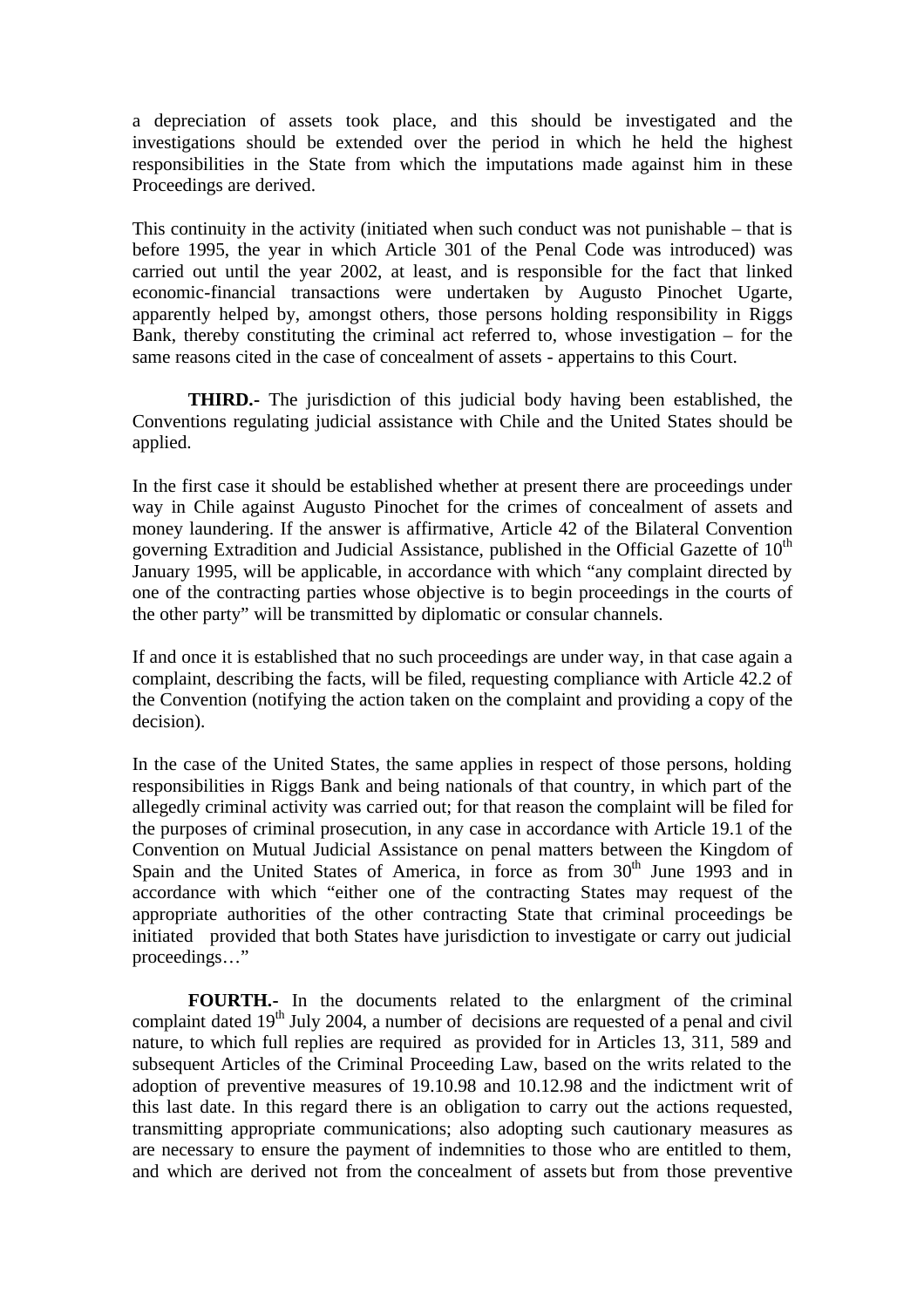a depreciation of assets took place, and this should be investigated and the investigations should be extended over the period in which he held the highest responsibilities in the State from which the imputations made against him in these Proceedings are derived.

This continuity in the activity (initiated when such conduct was not punishable – that is before 1995, the year in which Article 301 of the Penal Code was introduced) was carried out until the year 2002, at least, and is responsible for the fact that linked economic-financial transactions were undertaken by Augusto Pinochet Ugarte, apparently helped by, amongst others, those persons holding responsibility in Riggs Bank, thereby constituting the criminal act referred to, whose investigation – for the same reasons cited in the case of concealment of assets - appertains to this Court.

**THIRD.-** The jurisdiction of this judicial body having been established, the Conventions regulating judicial assistance with Chile and the United States should be applied.

In the first case it should be established whether at present there are proceedings under way in Chile against Augusto Pinochet for the crimes of concealment of assets and money laundering. If the answer is affirmative, Article 42 of the Bilateral Convention governing Extradition and Judicial Assistance, published in the Official Gazette of  $10<sup>th</sup>$ January 1995, will be applicable, in accordance with which "any complaint directed by one of the contracting parties whose objective is to begin proceedings in the courts of the other party" will be transmitted by diplomatic or consular channels.

If and once it is established that no such proceedings are under way, in that case again a complaint, describing the facts, will be filed, requesting compliance with Article 42.2 of the Convention (notifying the action taken on the complaint and providing a copy of the decision).

In the case of the United States, the same applies in respect of those persons, holding responsibilities in Riggs Bank and being nationals of that country, in which part of the allegedly criminal activity was carried out; for that reason the complaint will be filed for the purposes of criminal prosecution, in any case in accordance with Article 19.1 of the Convention on Mutual Judicial Assistance on penal matters between the Kingdom of Spain and the United States of America, in force as from  $30<sup>th</sup>$  June 1993 and in accordance with which "either one of the contracting States may request of the appropriate authorities of the other contracting State that criminal proceedings be initiated provided that both States have jurisdiction to investigate or carry out judicial proceedings…"

**FOURTH.-** In the documents related to the enlargment of the criminal complaint dated  $19<sup>th</sup>$  July 2004, a number of decisions are requested of a penal and civil nature, to which full replies are required as provided for in Articles 13, 311, 589 and subsequent Articles of the Criminal Proceeding Law, based on the writs related to the adoption of preventive measures of 19.10.98 and 10.12.98 and the indictment writ of this last date. In this regard there is an obligation to carry out the actions requested, transmitting appropriate communications; also adopting such cautionary measures as are necessary to ensure the payment of indemnities to those who are entitled to them, and which are derived not from the concealment of assets but from those preventive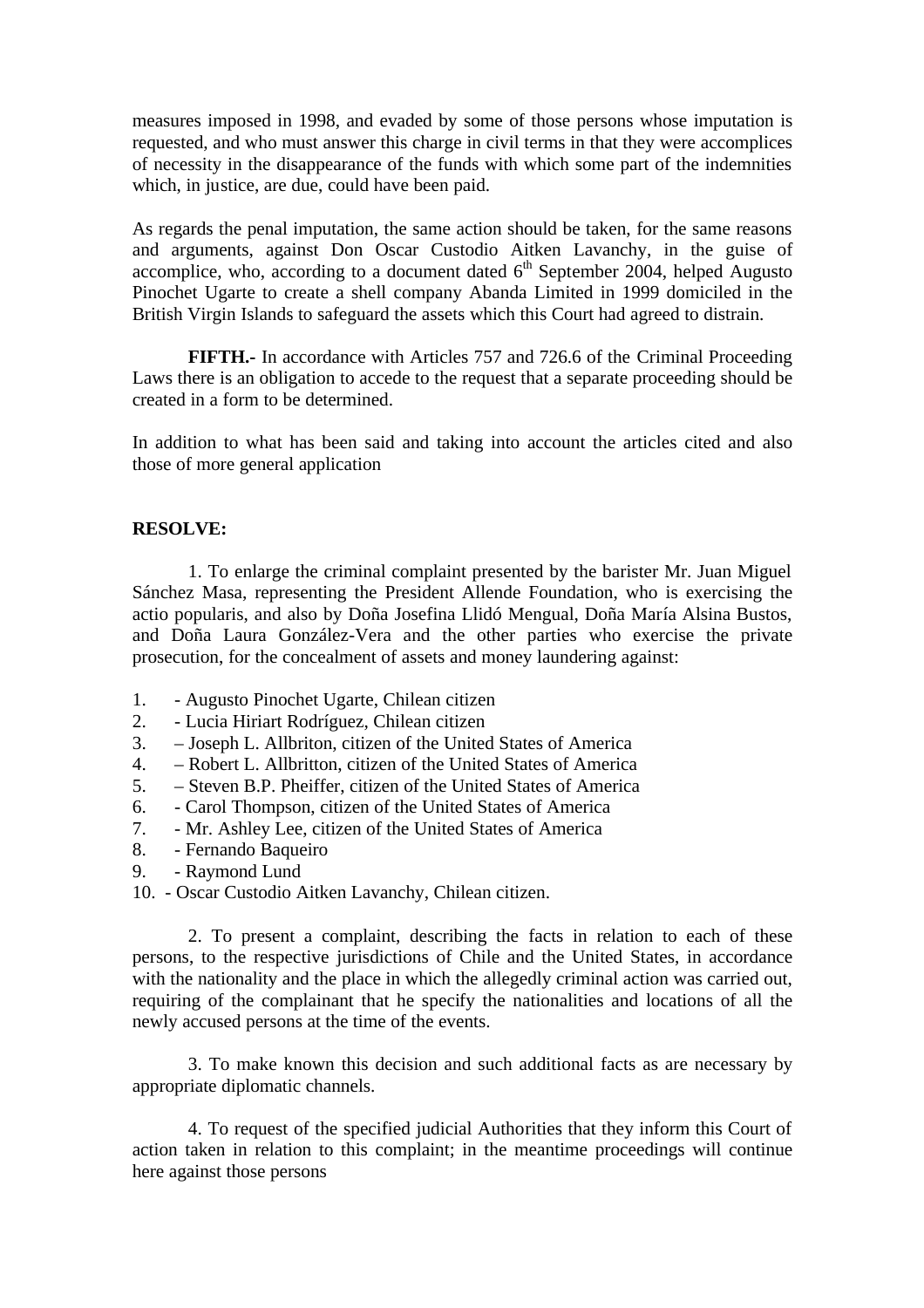measures imposed in 1998, and evaded by some of those persons whose imputation is requested, and who must answer this charge in civil terms in that they were accomplices of necessity in the disappearance of the funds with which some part of the indemnities which, in justice, are due, could have been paid.

As regards the penal imputation, the same action should be taken, for the same reasons and arguments, against Don Oscar Custodio Aitken Lavanchy, in the guise of accomplice, who, according to a document dated  $6<sup>th</sup>$  September 2004, helped Augusto Pinochet Ugarte to create a shell company Abanda Limited in 1999 domiciled in the British Virgin Islands to safeguard the assets which this Court had agreed to distrain.

**FIFTH.-** In accordance with Articles 757 and 726.6 of the Criminal Proceeding Laws there is an obligation to accede to the request that a separate proceeding should be created in a form to be determined.

In addition to what has been said and taking into account the articles cited and also those of more general application

## **RESOLVE:**

1. To enlarge the criminal complaint presented by the barister Mr. Juan Miguel Sánchez Masa, representing the President Allende Foundation, who is exercising the actio popularis, and also by Doña Josefina Llidó Mengual, Doña María Alsina Bustos, and Doña Laura González-Vera and the other parties who exercise the private prosecution, for the concealment of assets and money laundering against:

- 1. Augusto Pinochet Ugarte, Chilean citizen
- 2. Lucia Hiriart Rodríguez, Chilean citizen
- 3. Joseph L. Allbriton, citizen of the United States of America
- 4. Robert L. Allbritton, citizen of the United States of America
- 5. Steven B.P. Pheiffer, citizen of the United States of America
- 6. Carol Thompson, citizen of the United States of America
- 7. Mr. Ashley Lee, citizen of the United States of America
- 8. Fernando Baqueiro
- 9. Raymond Lund
- 10. Oscar Custodio Aitken Lavanchy, Chilean citizen.

2. To present a complaint, describing the facts in relation to each of these persons, to the respective jurisdictions of Chile and the United States, in accordance with the nationality and the place in which the allegedly criminal action was carried out, requiring of the complainant that he specify the nationalities and locations of all the newly accused persons at the time of the events.

3. To make known this decision and such additional facts as are necessary by appropriate diplomatic channels.

4. To request of the specified judicial Authorities that they inform this Court of action taken in relation to this complaint; in the meantime proceedings will continue here against those persons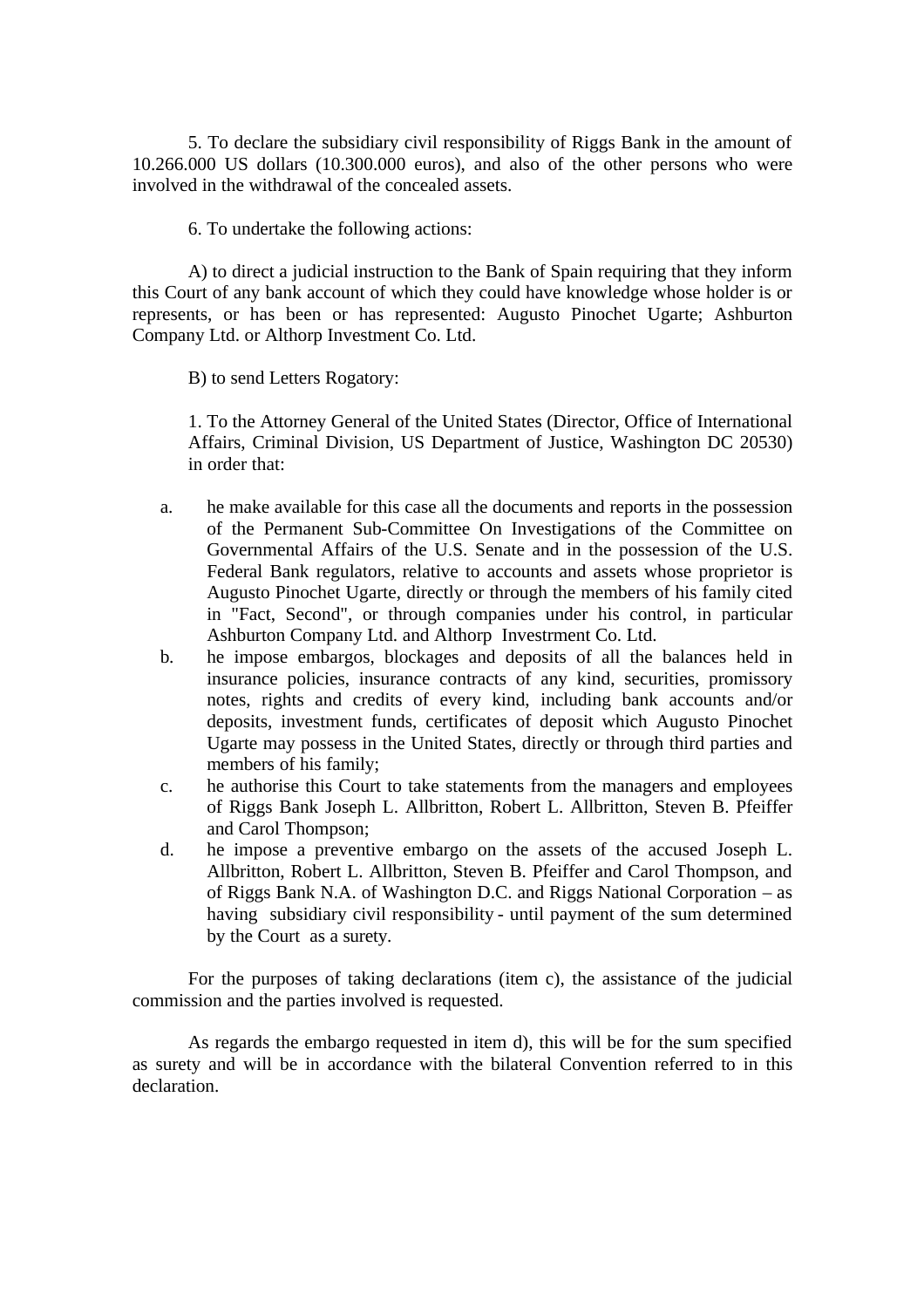5. To declare the subsidiary civil responsibility of Riggs Bank in the amount of 10.266.000 US dollars (10.300.000 euros), and also of the other persons who were involved in the withdrawal of the concealed assets.

6. To undertake the following actions:

A) to direct a judicial instruction to the Bank of Spain requiring that they inform this Court of any bank account of which they could have knowledge whose holder is or represents, or has been or has represented: Augusto Pinochet Ugarte; Ashburton Company Ltd. or Althorp Investment Co. Ltd.

B) to send Letters Rogatory:

1. To the Attorney General of the United States (Director, Office of International Affairs, Criminal Division, US Department of Justice, Washington DC 20530) in order that:

- a. he make available for this case all the documents and reports in the possession of the Permanent Sub-Committee On Investigations of the Committee on Governmental Affairs of the U.S. Senate and in the possession of the U.S. Federal Bank regulators, relative to accounts and assets whose proprietor is Augusto Pinochet Ugarte, directly or through the members of his family cited in "Fact, Second", or through companies under his control, in particular Ashburton Company Ltd. and Althorp Investrment Co. Ltd.
- b. he impose embargos, blockages and deposits of all the balances held in insurance policies, insurance contracts of any kind, securities, promissory notes, rights and credits of every kind, including bank accounts and/or deposits, investment funds, certificates of deposit which Augusto Pinochet Ugarte may possess in the United States, directly or through third parties and members of his family;
- c. he authorise this Court to take statements from the managers and employees of Riggs Bank Joseph L. Allbritton, Robert L. Allbritton, Steven B. Pfeiffer and Carol Thompson;
- d. he impose a preventive embargo on the assets of the accused Joseph L. Allbritton, Robert L. Allbritton, Steven B. Pfeiffer and Carol Thompson, and of Riggs Bank N.A. of Washington D.C. and Riggs National Corporation – as having subsidiary civil responsibility - until payment of the sum determined by the Court as a surety.

For the purposes of taking declarations (item c), the assistance of the judicial commission and the parties involved is requested.

As regards the embargo requested in item d), this will be for the sum specified as surety and will be in accordance with the bilateral Convention referred to in this declaration.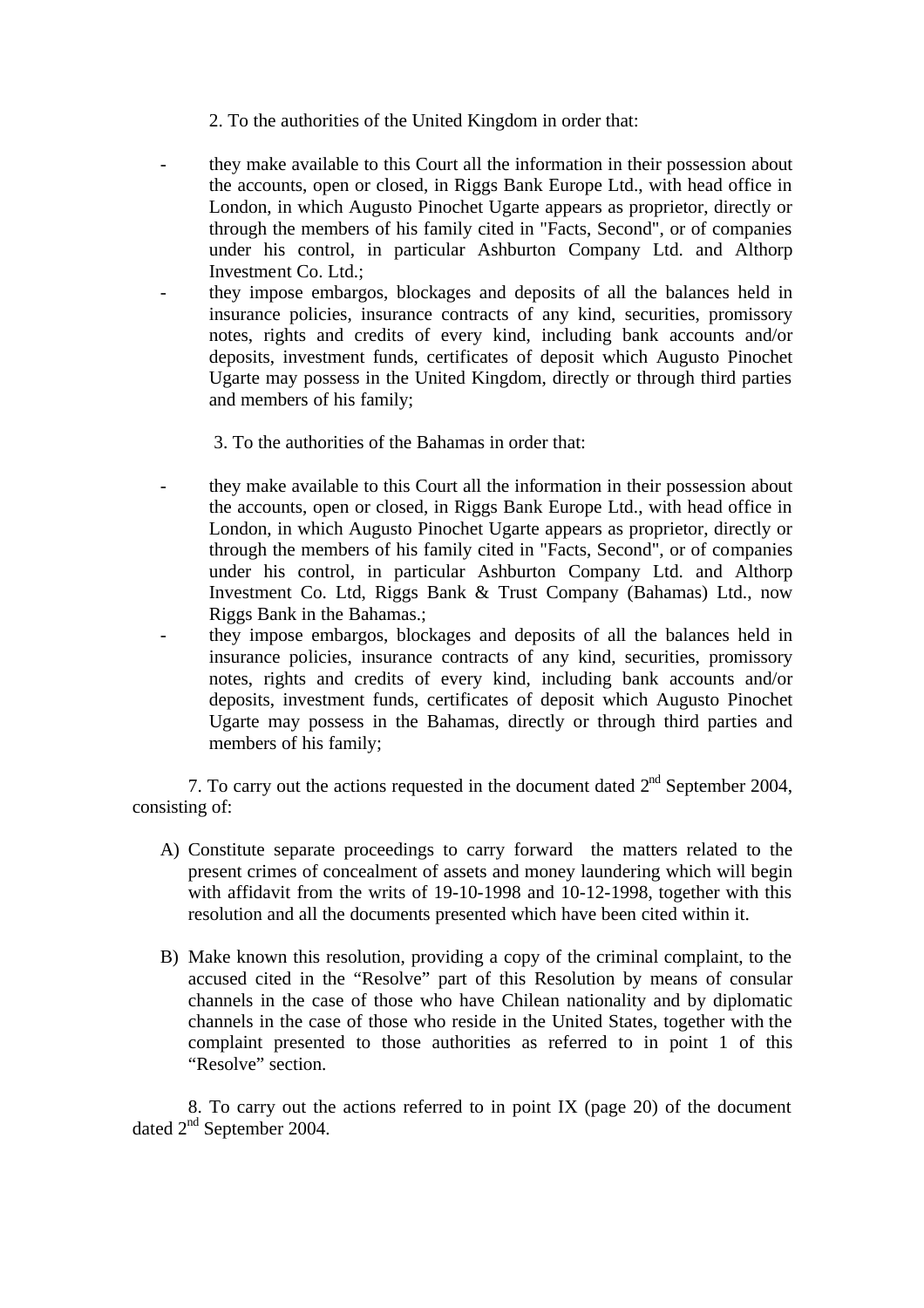2. To the authorities of the United Kingdom in order that:

- they make available to this Court all the information in their possession about the accounts, open or closed, in Riggs Bank Europe Ltd., with head office in London, in which Augusto Pinochet Ugarte appears as proprietor, directly or through the members of his family cited in "Facts, Second", or of companies under his control, in particular Ashburton Company Ltd. and Althorp Investment Co. Ltd.;
- they impose embargos, blockages and deposits of all the balances held in insurance policies, insurance contracts of any kind, securities, promissory notes, rights and credits of every kind, including bank accounts and/or deposits, investment funds, certificates of deposit which Augusto Pinochet Ugarte may possess in the United Kingdom, directly or through third parties and members of his family;
	- 3. To the authorities of the Bahamas in order that:
- they make available to this Court all the information in their possession about the accounts, open or closed, in Riggs Bank Europe Ltd., with head office in London, in which Augusto Pinochet Ugarte appears as proprietor, directly or through the members of his family cited in "Facts, Second", or of companies under his control, in particular Ashburton Company Ltd. and Althorp Investment Co. Ltd, Riggs Bank & Trust Company (Bahamas) Ltd., now Riggs Bank in the Bahamas.;
- they impose embargos, blockages and deposits of all the balances held in insurance policies, insurance contracts of any kind, securities, promissory notes, rights and credits of every kind, including bank accounts and/or deposits, investment funds, certificates of deposit which Augusto Pinochet Ugarte may possess in the Bahamas, directly or through third parties and members of his family;

7. To carry out the actions requested in the document dated  $2<sup>nd</sup>$  September 2004, consisting of:

- A) Constitute separate proceedings to carry forward the matters related to the present crimes of concealment of assets and money laundering which will begin with affidavit from the writs of 19-10-1998 and 10-12-1998, together with this resolution and all the documents presented which have been cited within it.
- B) Make known this resolution, providing a copy of the criminal complaint, to the accused cited in the "Resolve" part of this Resolution by means of consular channels in the case of those who have Chilean nationality and by diplomatic channels in the case of those who reside in the United States, together with the complaint presented to those authorities as referred to in point 1 of this "Resolve" section.

8. To carry out the actions referred to in point IX (page 20) of the document dated 2nd September 2004.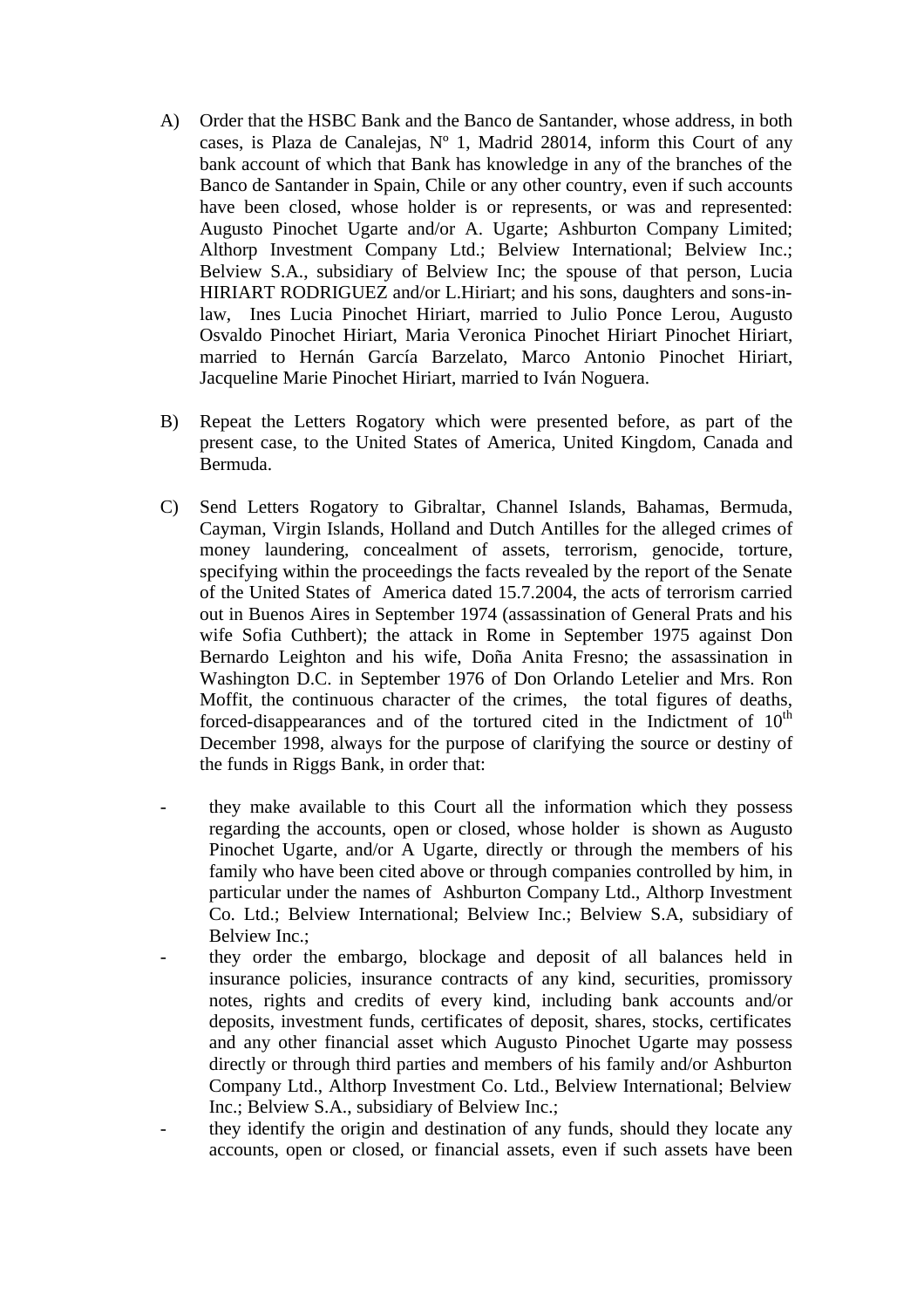- A) Order that the HSBC Bank and the Banco de Santander, whose address, in both cases, is Plaza de Canalejas,  $N^{\circ}$  1, Madrid 28014, inform this Court of any bank account of which that Bank has knowledge in any of the branches of the Banco de Santander in Spain, Chile or any other country, even if such accounts have been closed, whose holder is or represents, or was and represented: Augusto Pinochet Ugarte and/or A. Ugarte; Ashburton Company Limited; Althorp Investment Company Ltd.; Belview International; Belview Inc.; Belview S.A., subsidiary of Belview Inc; the spouse of that person, Lucia HIRIART RODRIGUEZ and/or L.Hiriart; and his sons, daughters and sons-inlaw, Ines Lucia Pinochet Hiriart, married to Julio Ponce Lerou, Augusto Osvaldo Pinochet Hiriart, Maria Veronica Pinochet Hiriart Pinochet Hiriart, married to Hernán García Barzelato, Marco Antonio Pinochet Hiriart, Jacqueline Marie Pinochet Hiriart, married to Iván Noguera.
- B) Repeat the Letters Rogatory which were presented before, as part of the present case, to the United States of America, United Kingdom, Canada and Bermuda.
- C) Send Letters Rogatory to Gibraltar, Channel Islands, Bahamas, Bermuda, Cayman, Virgin Islands, Holland and Dutch Antilles for the alleged crimes of money laundering, concealment of assets, terrorism, genocide, torture, specifying within the proceedings the facts revealed by the report of the Senate of the United States of America dated 15.7.2004, the acts of terrorism carried out in Buenos Aires in September 1974 (assassination of General Prats and his wife Sofia Cuthbert); the attack in Rome in September 1975 against Don Bernardo Leighton and his wife, Doña Anita Fresno; the assassination in Washington D.C. in September 1976 of Don Orlando Letelier and Mrs. Ron Moffit, the continuous character of the crimes, the total figures of deaths, forced-disappearances and of the tortured cited in the Indictment of  $10<sup>th</sup>$ December 1998, always for the purpose of clarifying the source or destiny of the funds in Riggs Bank, in order that:
- they make available to this Court all the information which they possess regarding the accounts, open or closed, whose holder is shown as Augusto Pinochet Ugarte, and/or A Ugarte, directly or through the members of his family who have been cited above or through companies controlled by him, in particular under the names of Ashburton Company Ltd., Althorp Investment Co. Ltd.; Belview International; Belview Inc.; Belview S.A, subsidiary of Belview Inc.;
- they order the embargo, blockage and deposit of all balances held in insurance policies, insurance contracts of any kind, securities, promissory notes, rights and credits of every kind, including bank accounts and/or deposits, investment funds, certificates of deposit, shares, stocks, certificates and any other financial asset which Augusto Pinochet Ugarte may possess directly or through third parties and members of his family and/or Ashburton Company Ltd., Althorp Investment Co. Ltd., Belview International; Belview Inc.; Belview S.A., subsidiary of Belview Inc.;
- they identify the origin and destination of any funds, should they locate any accounts, open or closed, or financial assets, even if such assets have been